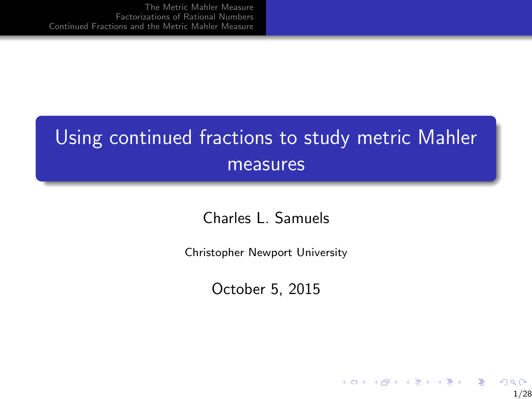## <span id="page-0-0"></span>Using continued fractions to study metric Mahler measures

Charles L. Samuels

Christopher Newport University

October 5, 2015

 $2Q$ 1/28

 $\mathbf{A} \equiv \mathbf{A} + \mathbf{B} + \mathbf{A} + \mathbf{B} + \mathbf{A} + \mathbf{B} + \mathbf{A} + \mathbf{B} + \mathbf{A} + \mathbf{B} + \mathbf{A} + \mathbf{B} + \mathbf{A} + \mathbf{B} + \mathbf{A} + \mathbf{B} + \mathbf{A} + \mathbf{B} + \mathbf{A} + \mathbf{B} + \mathbf{A} + \mathbf{B} + \mathbf{A} + \mathbf{B} + \mathbf{A} + \mathbf{B} + \mathbf{A} + \mathbf{B} + \mathbf{A} + \mathbf{B} + \math$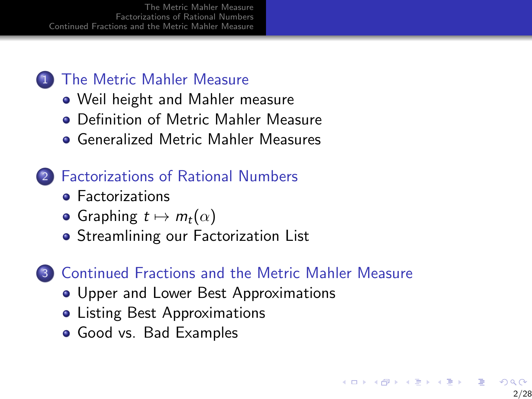#### 1 [The Metric Mahler Measure](#page-2-0)

- [Weil height and Mahler measure](#page-2-0)
- **[Definition of Metric Mahler Measure](#page-6-0)**
- [Generalized Metric Mahler Measures](#page-13-0)

#### 2 [Factorizations of Rational Numbers](#page-22-0)

- **•** [Factorizations](#page-22-0)
- [Graphing](#page-26-0)  $t \mapsto m_t(\alpha)$
- **[Streamlining our Factorization List](#page-32-0)**

#### 3 [Continued Fractions and the Metric Mahler Measure](#page-39-0)

- [Upper and Lower Best Approximations](#page-39-0)
- **[Listing Best Approximations](#page-42-0)**
- [Good vs. Bad Examples](#page-48-0)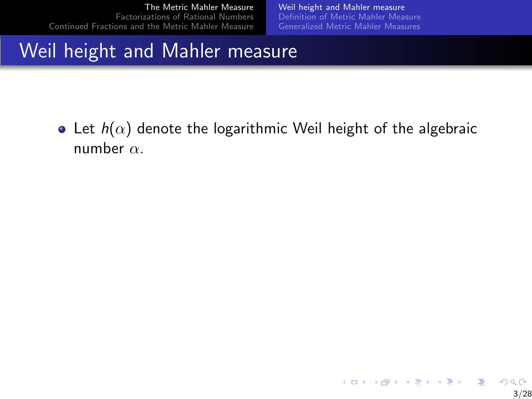[Weil height and Mahler measure](#page-5-0) [Definition of Metric Mahler Measure](#page-6-0) [Generalized Metric Mahler Measures](#page-13-0)

# <span id="page-2-0"></span>Weil height and Mahler measure

• Let  $h(\alpha)$  denote the logarithmic Weil height of the algebraic number  $\alpha$ .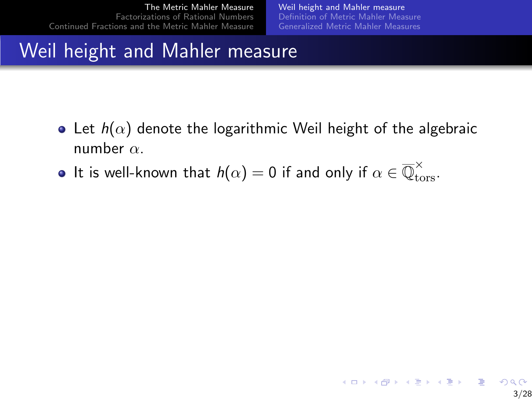[Weil height and Mahler measure](#page-5-0) [Definition of Metric Mahler Measure](#page-6-0) [Generalized Metric Mahler Measures](#page-13-0)

# Weil height and Mahler measure

- Let  $h(\alpha)$  denote the logarithmic Weil height of the algebraic number  $\alpha$ .
- It is well-known that  $h(\alpha)=0$  if and only if  $\alpha\in \overline{\mathbb{Q}}_{\text{tors}}^\times.$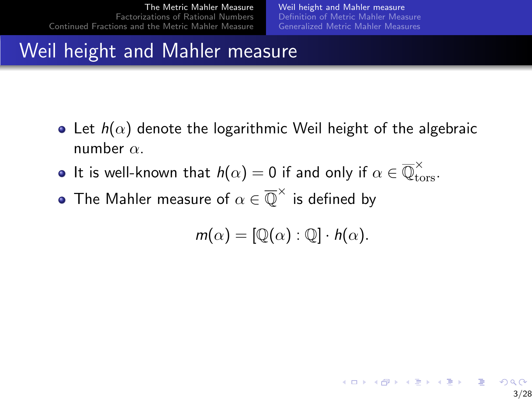[Weil height and Mahler measure](#page-5-0) [Definition of Metric Mahler Measure](#page-6-0) [Generalized Metric Mahler Measures](#page-13-0)

# Weil height and Mahler measure

- Let  $h(\alpha)$  denote the logarithmic Weil height of the algebraic number  $\alpha$ .
- It is well-known that  $h(\alpha)=0$  if and only if  $\alpha\in \overline{\mathbb{Q}}_{\text{tors}}^\times.$
- The Mahler measure of  $\alpha \in \overline{\mathbb{Q}}^{\times}$  is defined by

$$
m(\alpha)=[\mathbb{Q}(\alpha):\mathbb{Q}]\cdot h(\alpha).
$$

K ロ X K 個 X X 差 X X 差 X … 差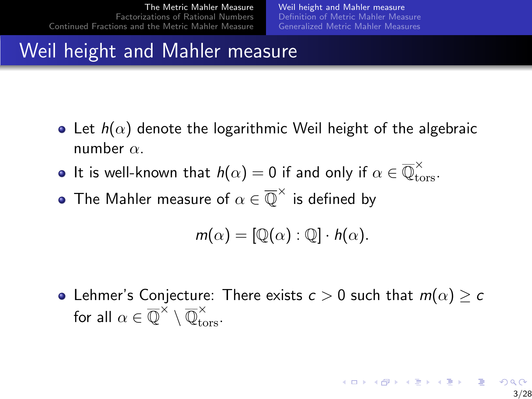[Weil height and Mahler measure](#page-2-0) [Definition of Metric Mahler Measure](#page-6-0) [Generalized Metric Mahler Measures](#page-13-0)

# <span id="page-5-0"></span>Weil height and Mahler measure

- Let  $h(\alpha)$  denote the logarithmic Weil height of the algebraic number  $\alpha$ .
- It is well-known that  $h(\alpha)=0$  if and only if  $\alpha\in \overline{\mathbb{Q}}_{\text{tors}}^\times.$
- The Mahler measure of  $\alpha \in \overline{\mathbb{Q}}^{\times}$  is defined by

$$
m(\alpha)=[\mathbb{Q}(\alpha):\mathbb{Q}]\cdot h(\alpha).
$$

 $\bullet$  Lehmer's Conjecture: There exists  $c > 0$  such that  $m(\alpha) \geq c$ for all  $\alpha \in \overline{\mathbb{Q}}^{\times} \setminus \overline{\mathbb{Q}}_{\text{tors}}^{\times}$ .

イロト 不優 ト 不重 ト 不重 トー 重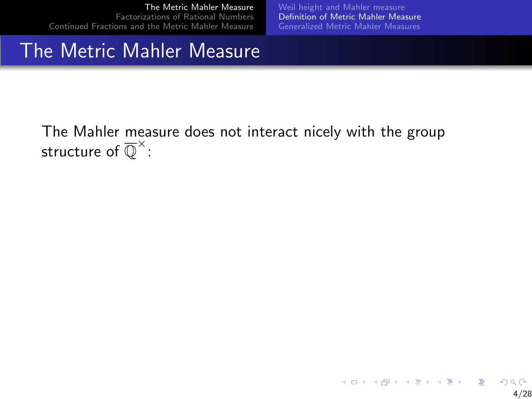[Weil height and Mahler measure](#page-2-0) [Definition of Metric Mahler Measure](#page-9-0) [Generalized Metric Mahler Measures](#page-13-0)

#### <span id="page-6-0"></span>The Metric Mahler Measure

The Mahler measure does not interact nicely with the group structure of  $\overline{\mathbb{Q}}^{\times}$  :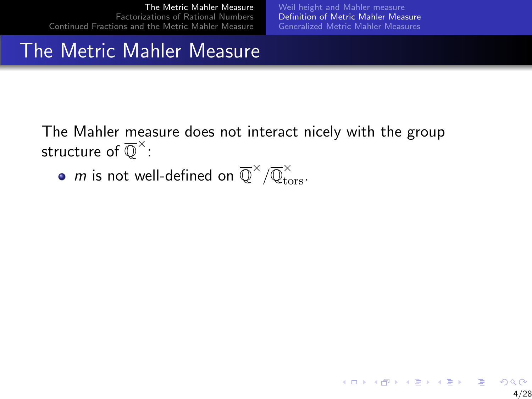[Weil height and Mahler measure](#page-2-0) [Definition of Metric Mahler Measure](#page-9-0) [Generalized Metric Mahler Measures](#page-13-0)

#### The Metric Mahler Measure

The Mahler measure does not interact nicely with the group structure of  $\overline{\mathbb{Q}}^{\times}$  :

 $m$  is not well-defined on  $\overline{\mathbb{Q}}^\times/\overline{\mathbb{Q}}_{\text{tors}}^\times.$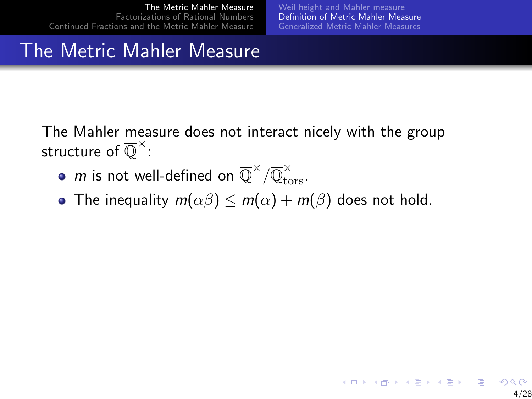[Weil height and Mahler measure](#page-2-0) [Definition of Metric Mahler Measure](#page-9-0) [Generalized Metric Mahler Measures](#page-13-0)

4/28

## The Metric Mahler Measure

The Mahler measure does not interact nicely with the group structure of  $\overline{\mathbb{Q}}^{\times}$  :

- $m$  is not well-defined on  $\overline{\mathbb{Q}}^\times/\overline{\mathbb{Q}}_{\text{tors}}^\times.$
- The inequality  $m(\alpha\beta) \le m(\alpha) + m(\beta)$  does not hold.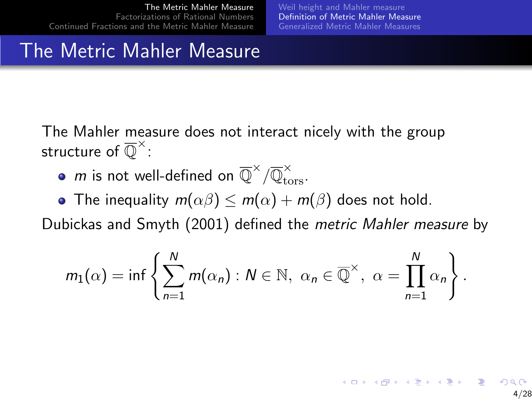[Weil height and Mahler measure](#page-2-0) [Definition of Metric Mahler Measure](#page-6-0) [Generalized Metric Mahler Measures](#page-13-0)

### <span id="page-9-0"></span>The Metric Mahler Measure

The Mahler measure does not interact nicely with the group structure of  $\overline{\mathbb{Q}}^{\times}$  :

- $m$  is not well-defined on  $\overline{\mathbb{Q}}^\times/\overline{\mathbb{Q}}_{\text{tors}}^\times.$
- The inequality  $m(\alpha\beta) \le m(\alpha) + m(\beta)$  does not hold.

Dubickas and Smyth (2001) defined the metric Mahler measure by

$$
m_1(\alpha)=\inf\left\{\sum_{n=1}^N m(\alpha_n):N\in\mathbb{N},\ \alpha_n\in\overline{\mathbb{Q}}^\times,\ \alpha=\prod_{n=1}^N\alpha_n\right\}.
$$

イロト イ部 トメ きょ メ きょう き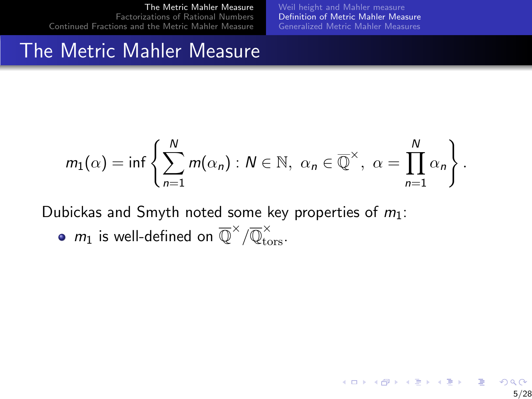[Weil height and Mahler measure](#page-2-0) [Definition of Metric Mahler Measure](#page-6-0) [Generalized Metric Mahler Measures](#page-13-0)

5/28

K ロン K 御 > K 결 > K 결 > 「결

#### The Metric Mahler Measure

$$
m_1(\alpha)=\inf\left\{\sum_{n=1}^N m(\alpha_n):N\in\mathbb{N},\ \alpha_n\in\overline{\mathbb{Q}}^\times,\ \alpha=\prod_{n=1}^N\alpha_n\right\}.
$$

Dubickas and Smyth noted some key properties of  $m_1$ :

 $m_1$  is well-defined on  $\overline{\mathbb{Q}}^\times/\overline{\mathbb{Q}}_{\text{tors}}^\times.$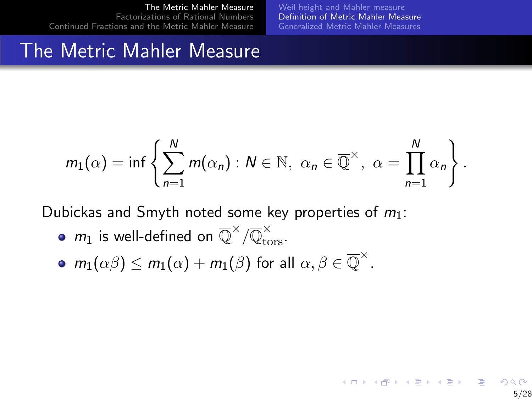[Weil height and Mahler measure](#page-2-0) [Definition of Metric Mahler Measure](#page-6-0) [Generalized Metric Mahler Measures](#page-13-0)

5/28

#### The Metric Mahler Measure

$$
m_1(\alpha)=\inf\left\{\sum_{n=1}^N m(\alpha_n):N\in\mathbb{N},\ \alpha_n\in\overline{\mathbb{Q}}^\times,\ \alpha=\prod_{n=1}^N\alpha_n\right\}.
$$

Dubickas and Smyth noted some key properties of  $m_1$ :

- $m_1$  is well-defined on  $\overline{\mathbb{Q}}^\times/\overline{\mathbb{Q}}_{\text{tors}}^\times.$
- $m_1(\alpha\beta) \le m_1(\alpha) + m_1(\beta)$  for all  $\alpha, \beta \in \overline{\mathbb{Q}}^{\times}$ .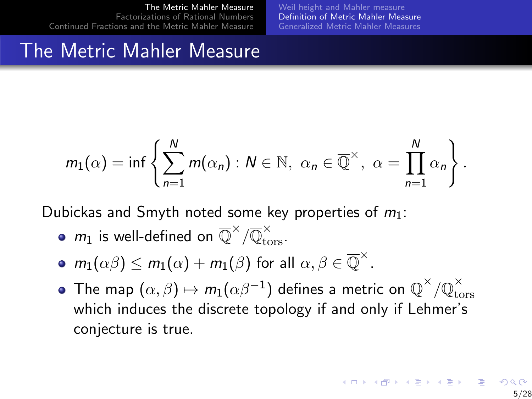[Weil height and Mahler measure](#page-2-0) [Definition of Metric Mahler Measure](#page-6-0) [Generalized Metric Mahler Measures](#page-13-0)

## The Metric Mahler Measure

$$
m_1(\alpha)=\inf\left\{\sum_{n=1}^N m(\alpha_n):N\in\mathbb{N},\ \alpha_n\in\overline{\mathbb{Q}}^\times,\ \alpha=\prod_{n=1}^N\alpha_n\right\}.
$$

Dubickas and Smyth noted some key properties of  $m_1$ :

- $m_1$  is well-defined on  $\overline{\mathbb{Q}}^\times/\overline{\mathbb{Q}}_{\text{tors}}^\times.$
- $m_1(\alpha\beta) \le m_1(\alpha) + m_1(\beta)$  for all  $\alpha, \beta \in \overline{\mathbb{Q}}^{\times}$ .
- The map  $(\alpha,\beta)\mapsto m_1(\alpha\beta^{-1})$  defines a metric on  $\overline{\mathbb{Q}}^\times/\overline{\mathbb{Q}}_{\rm{tc}}^\times$ tors which induces the discrete topology if and only if Lehmer's conjecture is true.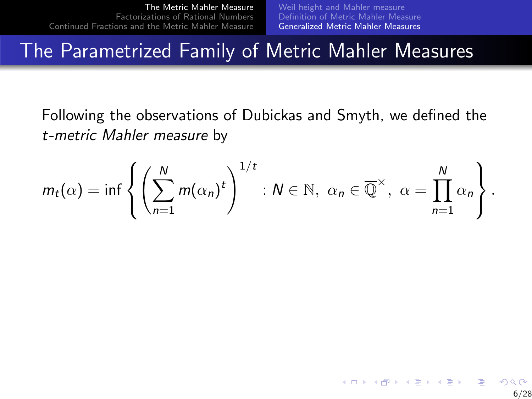6/28

 $\left\{ \begin{array}{ccc} \pm & \pm & \pm \end{array} \right.$  and  $\left\{ \begin{array}{ccc} \pm & \pm \end{array} \right.$  and  $\left\{ \begin{array}{ccc} \pm & \pm \end{array} \right.$ 

#### <span id="page-13-0"></span>The Parametrized Family of Metric Mahler Measures

Following the observations of Dubickas and Smyth, we defined the t-metric Mahler measure by

$$
m_t(\alpha)=\inf\left\{\left(\sum_{n=1}^N m(\alpha_n)^t\right)^{1/t}: N\in\mathbb{N}, \ \alpha_n\in\overline{\mathbb{Q}}^\times, \ \alpha=\prod_{n=1}^N\alpha_n\right\}.
$$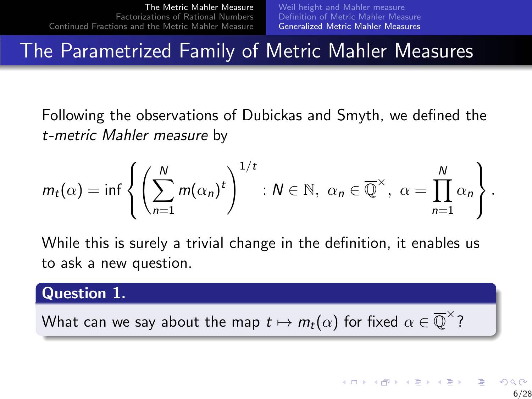### <span id="page-14-0"></span>The Parametrized Family of Metric Mahler Measures

Following the observations of Dubickas and Smyth, we defined the t-metric Mahler measure by

$$
m_t(\alpha)=\inf\left\{\left(\sum_{n=1}^N m(\alpha_n)^t\right)^{1/t}: N\in\mathbb{N}, \ \alpha_n\in\overline{\mathbb{Q}}^\times, \ \alpha=\prod_{n=1}^N \alpha_n\right\}.
$$

While this is surely a trivial change in the definition, it enables us to ask a new question.

#### Question 1.

What can we say about the map  $t\mapsto m_t(\alpha)$  for fixed  $\alpha\in \overline{\mathbb{Q}}^{\times}$ ?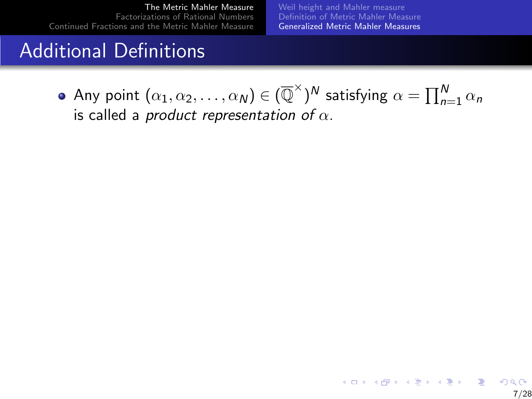[Weil height and Mahler measure](#page-2-0) [Definition of Metric Mahler Measure](#page-6-0) [Generalized Metric Mahler Measures](#page-13-0)

### Additional Definitions

Any point  $(\alpha_1, \alpha_2, \ldots, \alpha_N) \in (\overline{\mathbb{Q}}^{\times})^N$  satisfying  $\alpha = \prod_{n=1}^N \alpha_n$ is called a *product representation of*  $\alpha$ .

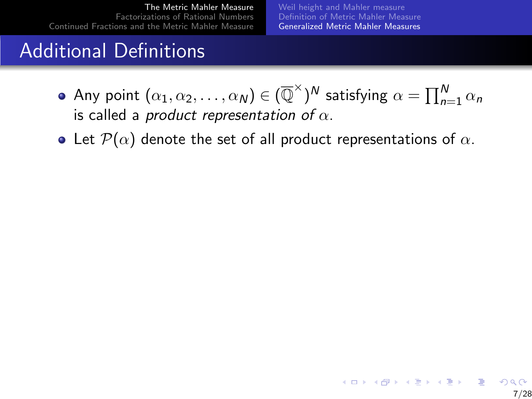[Weil height and Mahler measure](#page-2-0) [Definition of Metric Mahler Measure](#page-6-0) [Generalized Metric Mahler Measures](#page-13-0)

## Additional Definitions

- Any point  $(\alpha_1, \alpha_2, \ldots, \alpha_N) \in (\overline{\mathbb{Q}}^{\times})^N$  satisfying  $\alpha = \prod_{n=1}^N \alpha_n$ is called a product representation of  $\alpha$ .
- Let  $\mathcal{P}(\alpha)$  denote the set of all product representations of  $\alpha$ .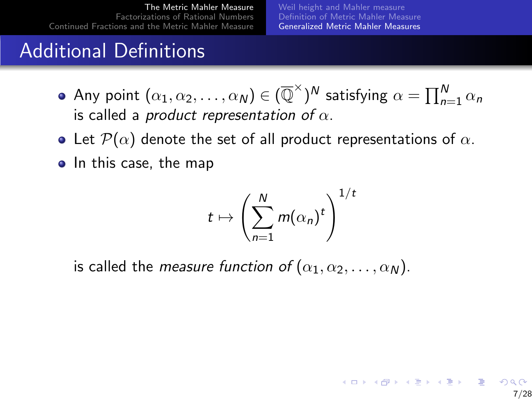[Weil height and Mahler measure](#page-2-0) [Definition of Metric Mahler Measure](#page-6-0) [Generalized Metric Mahler Measures](#page-13-0)

7/28

 $A \equiv 1 + 4 \sqrt{10} + 4 \sqrt{10} + 4 \sqrt{10} + 4 \sqrt{10} + 1$ 

## Additional Definitions

- Any point  $(\alpha_1, \alpha_2, \ldots, \alpha_N) \in (\overline{\mathbb{Q}}^{\times})^N$  satisfying  $\alpha = \prod_{n=1}^N \alpha_n$ is called a *product representation of*  $\alpha$ .
- Let  $\mathcal{P}(\alpha)$  denote the set of all product representations of  $\alpha$ .
- In this case, the map

$$
t\mapsto \left(\sum_{n=1}^N m(\alpha_n)^t\right)^{1/t}
$$

is called the measure function of  $(\alpha_1, \alpha_2, \ldots, \alpha_N)$ .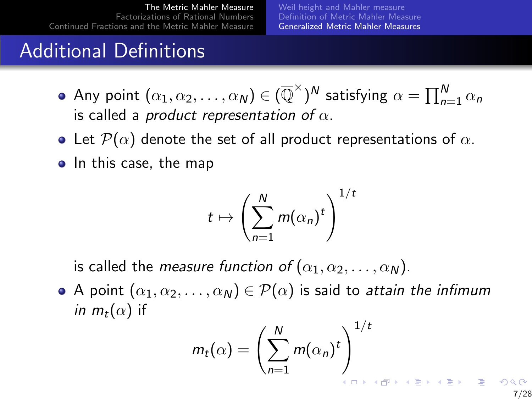[Weil height and Mahler measure](#page-2-0) [Definition of Metric Mahler Measure](#page-6-0) [Generalized Metric Mahler Measures](#page-13-0)

## Additional Definitions

- Any point  $(\alpha_1, \alpha_2, \ldots, \alpha_N) \in (\overline{\mathbb{Q}}^{\times})^N$  satisfying  $\alpha = \prod_{n=1}^N \alpha_n$ is called a product representation of  $\alpha$ .
- Let  $\mathcal{P}(\alpha)$  denote the set of all product representations of  $\alpha$ .
- In this case, the map

$$
t\mapsto \left(\sum_{n=1}^N m(\alpha_n)^t\right)^{1/t}
$$

is called the measure function of  $(\alpha_1, \alpha_2, \ldots, \alpha_N)$ .

A point  $(\alpha_1, \alpha_2, \ldots, \alpha_N) \in \mathcal{P}(\alpha)$  is said to attain the infimum *in*  $m_t(\alpha)$  if

$$
m_t(\alpha) = \left(\sum_{n=1}^N m(\alpha_n)^t\right)^{1/t}
$$

7/28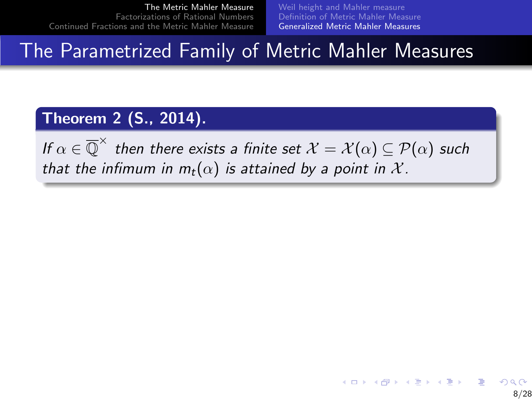[Weil height and Mahler measure](#page-2-0) [Definition of Metric Mahler Measure](#page-6-0) [Generalized Metric Mahler Measures](#page-13-0)

#### The Parametrized Family of Metric Mahler Measures

#### Theorem 2 (S., 2014).

If  $\alpha\in\overline{\mathbb{Q}}^\times$  then there exists a finite set  $\mathcal{X}=\mathcal{X}(\alpha)\subseteq\mathcal{P}(\alpha)$  such that the infimum in  $m_t(\alpha)$  is attained by a point in X.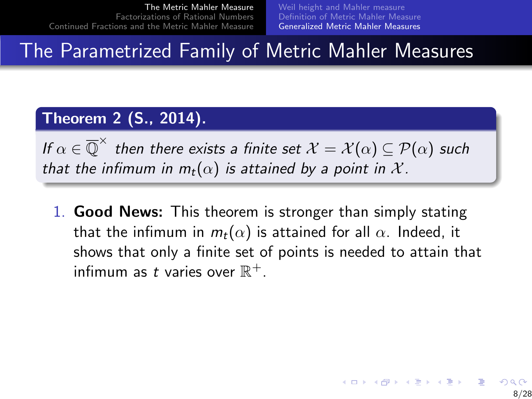[Weil height and Mahler measure](#page-2-0) [Definition of Metric Mahler Measure](#page-6-0) [Generalized Metric Mahler Measures](#page-13-0)

#### The Parametrized Family of Metric Mahler Measures

#### Theorem 2 (S., 2014).

If  $\alpha\in\overline{\mathbb{Q}}^\times$  then there exists a finite set  $\mathcal{X}=\mathcal{X}(\alpha)\subseteq\mathcal{P}(\alpha)$  such that the infimum in  $m_t(\alpha)$  is attained by a point in X.

1. Good News: This theorem is stronger than simply stating that the infimum in  $m_t(\alpha)$  is attained for all  $\alpha$ . Indeed, it shows that only a finite set of points is needed to attain that infimum as t varies over  $\mathbb{R}^+$ .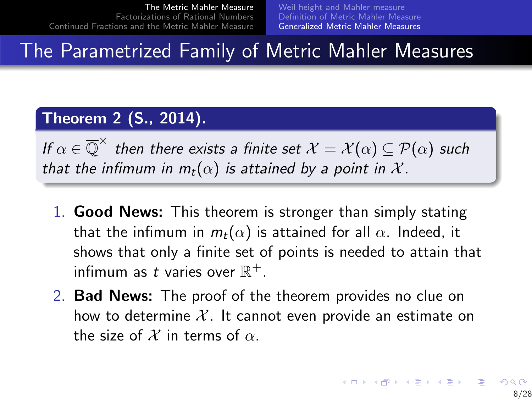[Weil height and Mahler measure](#page-2-0) [Definition of Metric Mahler Measure](#page-6-0) [Generalized Metric Mahler Measures](#page-13-0)

#### The Parametrized Family of Metric Mahler Measures

#### Theorem 2 (S., 2014).

If  $\alpha\in\overline{\mathbb{Q}}^\times$  then there exists a finite set  $\mathcal{X}=\mathcal{X}(\alpha)\subseteq\mathcal{P}(\alpha)$  such that the infimum in  $m_t(\alpha)$  is attained by a point in X.

- 1. Good News: This theorem is stronger than simply stating that the infimum in  $m_t(\alpha)$  is attained for all  $\alpha$ . Indeed, it shows that only a finite set of points is needed to attain that infimum as t varies over  $\mathbb{R}^+$ .
- 2. Bad News: The proof of the theorem provides no clue on how to determine  $\mathcal{X}$ . It cannot even provide an estimate on the size of X in terms of  $\alpha$ .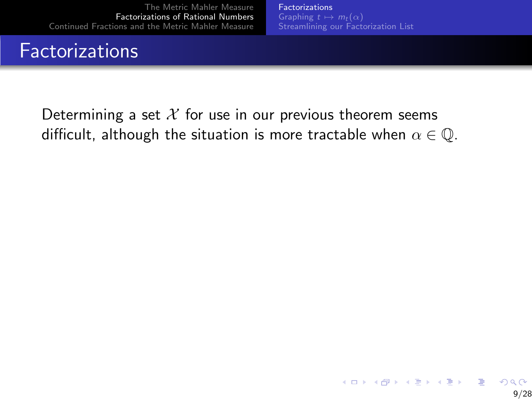## <span id="page-22-0"></span>**Factorizations**

**[Factorizations](#page-24-0)** [Streamlining our Factorization List](#page-32-0)

Determining a set  $X$  for use in our previous theorem seems difficult, although the situation is more tractable when  $\alpha \in \mathbb{Q}$ .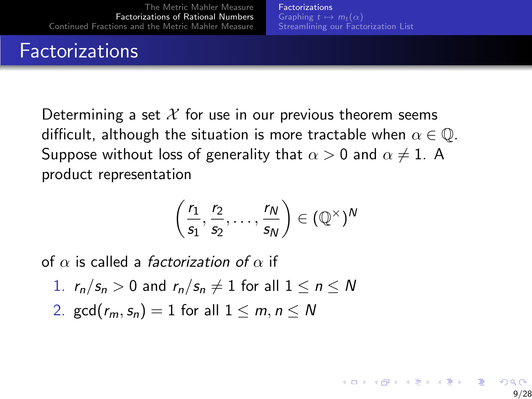## **Factorizations**

Determining a set  $\mathcal X$  for use in our previous theorem seems difficult, although the situation is more tractable when  $\alpha \in \mathbb{Q}$ . Suppose without loss of generality that  $\alpha > 0$  and  $\alpha \neq 1$ . A product representation

$$
\left(\frac{r_1}{s_1},\frac{r_2}{s_2},\ldots,\frac{r_N}{s_N}\right)\in (\mathbb{Q}^\times)^N
$$

of  $\alpha$  is called a *factorization of*  $\alpha$  if

- 1.  $r_n/s_n > 0$  and  $r_n/s_n \neq 1$  for all  $1 \leq n \leq N$
- 2. gcd $(r_m, s_n) = 1$  for all  $1 \leq m, n \leq N$

 $\mathbf{A} \equiv \mathbf{A} + \mathbf{B} + \mathbf{A} + \mathbf{B} + \mathbf{A} + \mathbf{B} + \mathbf{A} + \mathbf{B} + \mathbf{A} + \mathbf{B} + \mathbf{A} + \mathbf{B} + \mathbf{A} + \mathbf{B} + \mathbf{A} + \mathbf{B} + \mathbf{A} + \mathbf{B} + \mathbf{A} + \mathbf{B} + \mathbf{A} + \mathbf{B} + \mathbf{A} + \mathbf{B} + \mathbf{A} + \mathbf{B} + \mathbf{A} + \mathbf{B} + \mathbf{A} + \mathbf{B} + \math$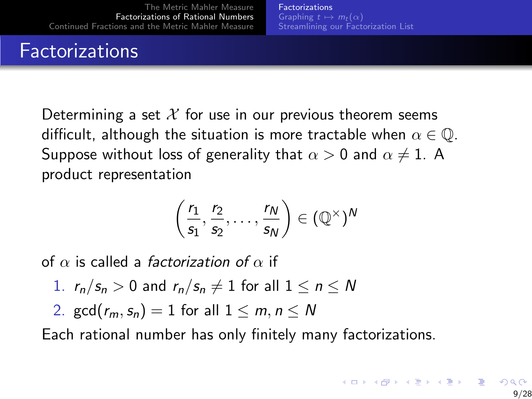## <span id="page-24-0"></span>**Factorizations**

Determining a set  $\mathcal X$  for use in our previous theorem seems difficult, although the situation is more tractable when  $\alpha \in \mathbb{Q}$ . Suppose without loss of generality that  $\alpha > 0$  and  $\alpha \neq 1$ . A product representation

$$
\left(\frac{r_1}{s_1},\frac{r_2}{s_2},\ldots,\frac{r_N}{s_N}\right)\in (\mathbb{Q}^\times)^N
$$

of  $\alpha$  is called a *factorization of*  $\alpha$  if

- 1.  $r_n/s_n > 0$  and  $r_n/s_n \neq 1$  for all  $1 \leq n \leq N$
- 2. gcd( $r_m, s_n$ ) = 1 for all  $1 \le m, n \le N$

Each rational number has only finitely many factorizations.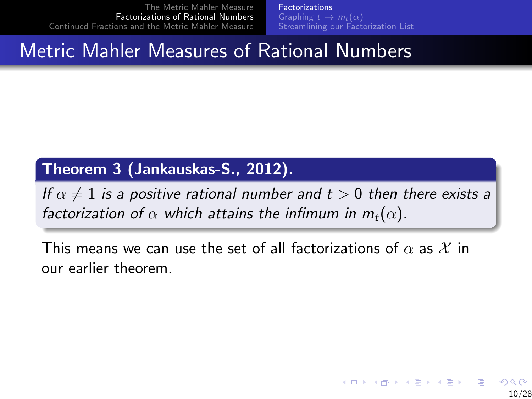[Factorizations](#page-22-0) [Streamlining our Factorization List](#page-32-0)

## Metric Mahler Measures of Rational Numbers

#### Theorem 3 (Jankauskas-S., 2012).

If  $\alpha \neq 1$  is a positive rational number and  $t > 0$  then there exists a factorization of  $\alpha$  which attains the infimum in  $m_t(\alpha)$ .

This means we can use the set of all factorizations of  $\alpha$  as  $\mathcal X$  in our earlier theorem.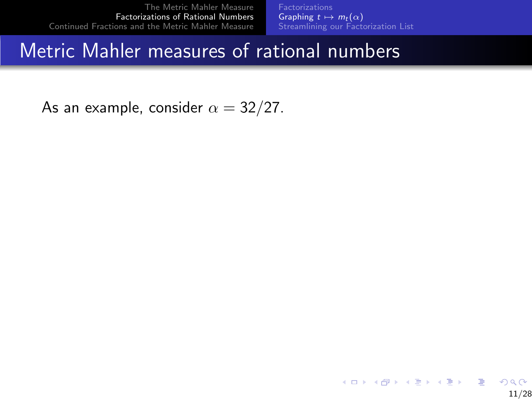**[Factorizations](#page-22-0)** [Graphing](#page-28-0)  $t \mapsto m_t (\alpha)$ [Streamlining our Factorization List](#page-32-0)

#### <span id="page-26-0"></span>Metric Mahler measures of rational numbers

As an example, consider  $\alpha = 32/27$ .

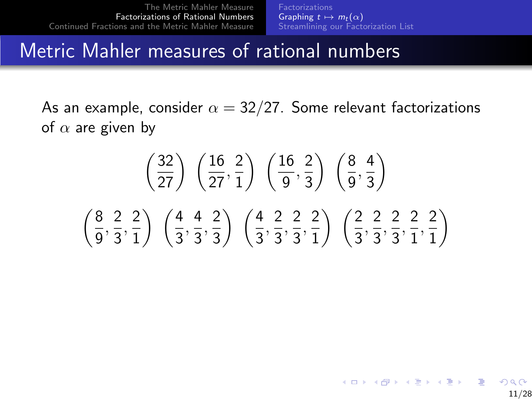#### Metric Mahler measures of rational numbers

As an example, consider  $\alpha = 32/27$ . Some relevant factorizations of  $\alpha$  are given by

$$
\left(\frac{32}{27}\right)\left(\frac{16}{27},\frac{2}{1}\right)\left(\frac{16}{9},\frac{2}{3}\right)\left(\frac{8}{9},\frac{4}{3}\right)
$$

$$
\left(\frac{8}{9},\frac{2}{3},\frac{2}{1}\right)\left(\frac{4}{3},\frac{4}{3},\frac{2}{3}\right)\left(\frac{4}{3},\frac{2}{3},\frac{2}{3},\frac{2}{1}\right)\left(\frac{2}{3},\frac{2}{3},\frac{2}{3},\frac{2}{1},\frac{2}{1}\right)
$$

K ロン K 御 X K 澄 X K 澄 X 《 碧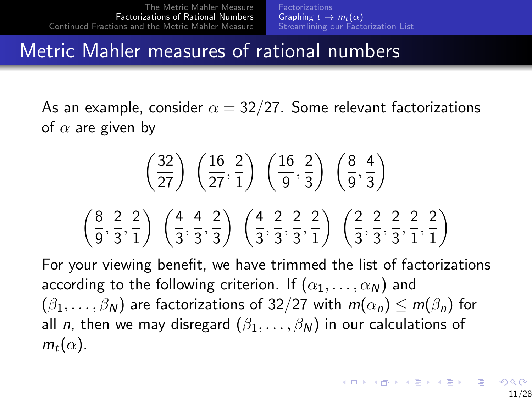#### <span id="page-28-0"></span>Metric Mahler measures of rational numbers

As an example, consider  $\alpha = 32/27$ . Some relevant factorizations of  $\alpha$  are given by

$$
\left(\frac{32}{27}\right)\left(\frac{16}{27},\frac{2}{1}\right)\left(\frac{16}{9},\frac{2}{3}\right)\left(\frac{8}{9},\frac{4}{3}\right)
$$

$$
\left(\frac{8}{9},\frac{2}{3},\frac{2}{1}\right)\left(\frac{4}{3},\frac{4}{3},\frac{2}{3}\right)\left(\frac{4}{3},\frac{2}{3},\frac{2}{3},\frac{2}{1}\right)\left(\frac{2}{3},\frac{2}{3},\frac{2}{3},\frac{2}{1},\frac{2}{1}\right)
$$

For your viewing benefit, we have trimmed the list of factorizations according to the following criterion. If  $(\alpha_1, \ldots, \alpha_N)$  and  $(\beta_1,\ldots,\beta_N)$  are factorizations of 32/27 with  $m(\alpha_n) \le m(\beta_n)$  for all *n*, then we may disregard  $(\beta_1, \ldots, \beta_N)$  in our calculations of  $m_t(\alpha)$ .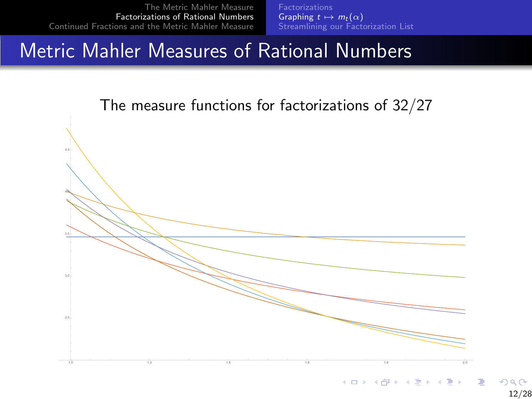**[Factorizations](#page-22-0) [Graphing](#page-26-0)**  $t \mapsto m_t(\alpha)$ <br>[Streamlining our Factorization List](#page-32-0)

#### Metric Mahler Measures of Rational Numbers



12/28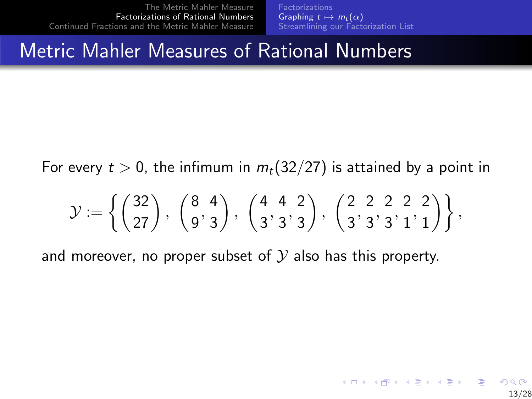**[Factorizations](#page-22-0)** [Graphing](#page-26-0)  $t \mapsto m_t(\alpha)$ [Streamlining our Factorization List](#page-32-0)

#### Metric Mahler Measures of Rational Numbers

For every  $t > 0$ , the infimum in  $m_t(32/27)$  is attained by a point in

$$
\mathcal{Y}:=\left\{\left(\frac{32}{27}\right),\ \left(\frac{8}{9},\frac{4}{3}\right),\ \left(\frac{4}{3},\frac{4}{3},\frac{2}{3}\right),\ \left(\frac{2}{3},\frac{2}{3},\frac{2}{3},\frac{2}{1},\frac{2}{1}\right)\right\},
$$

and moreover, no proper subset of  $\mathcal Y$  also has this property.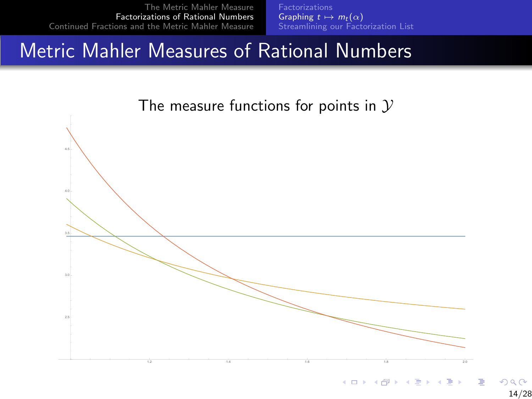**[Factorizations](#page-22-0) [Graphing](#page-26-0)**  $t \mapsto m_t(\alpha)$ <br>[Streamlining our Factorization List](#page-32-0)

#### Metric Mahler Measures of Rational Numbers

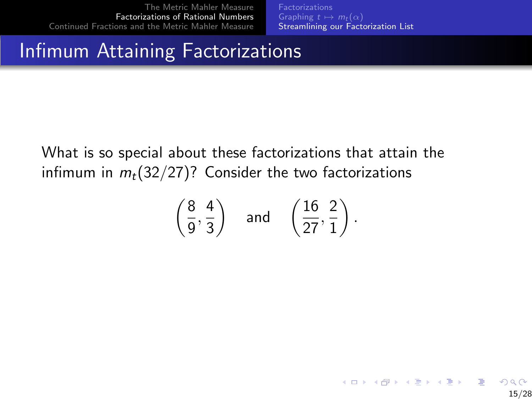[Factorizations](#page-22-0) [Streamlining our Factorization List](#page-33-0)

15/28

 $2Q$ 

 $\mathbf{A} \equiv \mathbf{A} + \mathbf{A} + \mathbf{A} + \mathbf{A} + \mathbf{A} + \mathbf{A} + \mathbf{A} + \mathbf{A} + \mathbf{A} + \mathbf{A} + \mathbf{A} + \mathbf{A} + \mathbf{A} + \mathbf{A} + \mathbf{A} + \mathbf{A} + \mathbf{A} + \mathbf{A} + \mathbf{A} + \mathbf{A} + \mathbf{A} + \mathbf{A} + \mathbf{A} + \mathbf{A} + \mathbf{A} + \mathbf{A} + \mathbf{A} + \mathbf{A} + \mathbf{A} + \mathbf{A} + \math$ 

#### <span id="page-32-0"></span>Infimum Attaining Factorizations

What is so special about these factorizations that attain the infimum in  $m_t(32/27)$ ? Consider the two factorizations

$$
\left(\frac{8}{9}, \frac{4}{3}\right)
$$
 and  $\left(\frac{16}{27}, \frac{2}{1}\right)$ .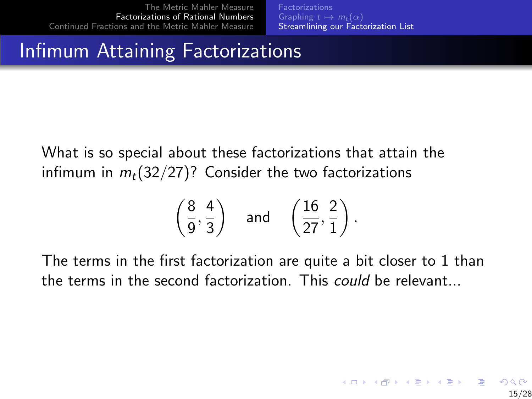[Factorizations](#page-22-0) [Graphing](#page-26-0)  $t \mapsto m_t(\alpha)$ [Streamlining our Factorization List](#page-32-0)

#### <span id="page-33-0"></span>Infimum Attaining Factorizations

What is so special about these factorizations that attain the infimum in  $m_t(32/27)$ ? Consider the two factorizations

$$
\left(\frac{8}{9}, \frac{4}{3}\right)
$$
 and  $\left(\frac{16}{27}, \frac{2}{1}\right)$ .

The terms in the first factorization are quite a bit closer to 1 than the terms in the second factorization. This could be relevant...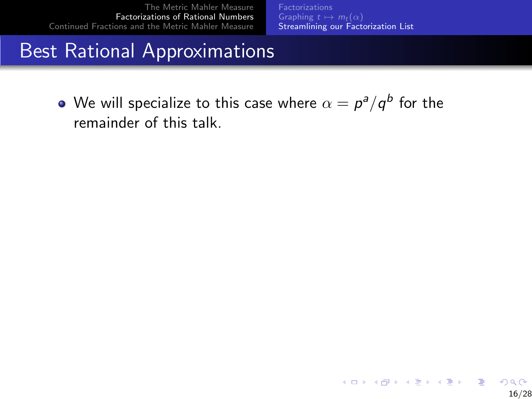**[Factorizations](#page-22-0)** [Streamlining our Factorization List](#page-32-0)

#### Best Rational Approximations

We will specialize to this case where  $\alpha=p^{\mathsf{a}}/q^{\mathsf{b}}$  for the remainder of this talk.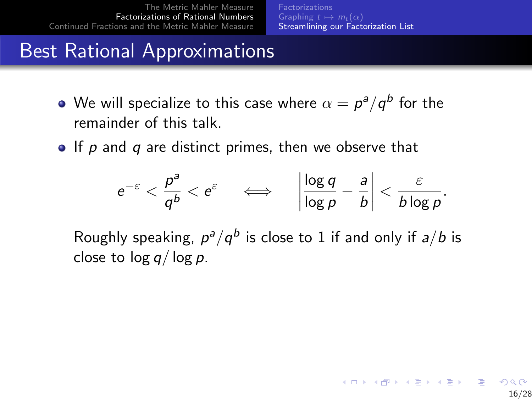## Best Rational Approximations

- We will specialize to this case where  $\alpha=p^{\mathsf{a}}/q^{\mathsf{b}}$  for the remainder of this talk.
- $\bullet$  If p and q are distinct primes, then we observe that

$$
e^{-\varepsilon}<\frac{p^a}{q^b}
$$

Roughly speaking,  $p^a/q^b$  is close to 1 if and only if  $a/b$  is close to  $\log q / \log p$ .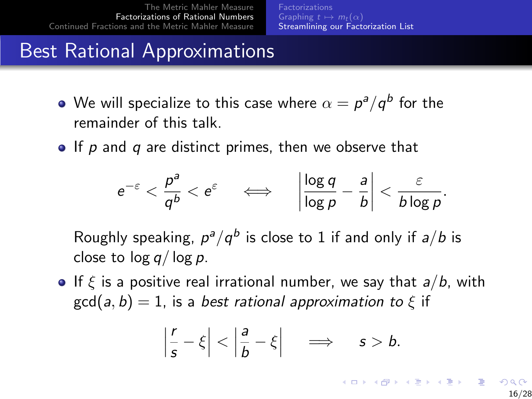## Best Rational Approximations

- We will specialize to this case where  $\alpha=p^{\mathsf{a}}/q^{\mathsf{b}}$  for the remainder of this talk.
- $\bullet$  If p and q are distinct primes, then we observe that

$$
e^{-\varepsilon} < \frac{p^a}{q^b} < e^{\varepsilon} \quad \iff \quad \left| \frac{\log q}{\log p} - \frac{a}{b} \right| < \frac{\varepsilon}{b \log p}.
$$

Roughly speaking,  $p^a/q^b$  is close to 1 if and only if  $a/b$  is close to  $log q / log p$ .

**If**  $\xi$  is a positive real irrational number, we say that  $a/b$ , with  $gcd(a, b) = 1$ , is a best rational approximation to  $\xi$  if

$$
\left|\frac{r}{s}-\xi\right|<\left|\frac{a}{b}-\xi\right| \quad \Longrightarrow \quad s>b.
$$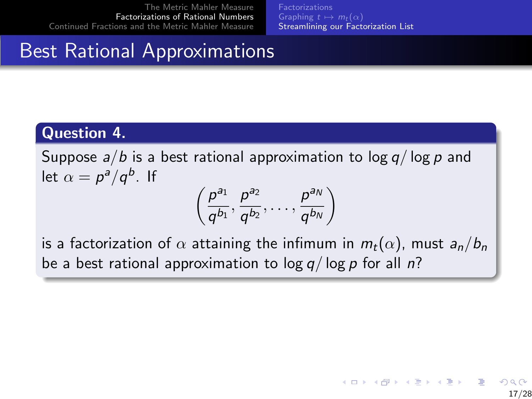[Factorizations](#page-22-0) [Graphing](#page-26-0)  $t \mapsto m_t(\alpha)$ [Streamlining our Factorization List](#page-32-0)

## Best Rational Approximations

#### Question 4.

Suppose  $a/b$  is a best rational approximation to log  $q/\log p$  and let  $\alpha = p^a/q^b$ . If

$$
\left(\frac{p^{a_1}}{q^{b_1}},\frac{p^{a_2}}{q^{b_2}},\ldots,\frac{p^{a_N}}{q^{b_N}}\right)
$$

is a factorization of  $\alpha$  attaining the infimum in  $m_t(\alpha)$ , must  $a_n/b_n$ be a best rational approximation to  $\log q / \log p$  for all n?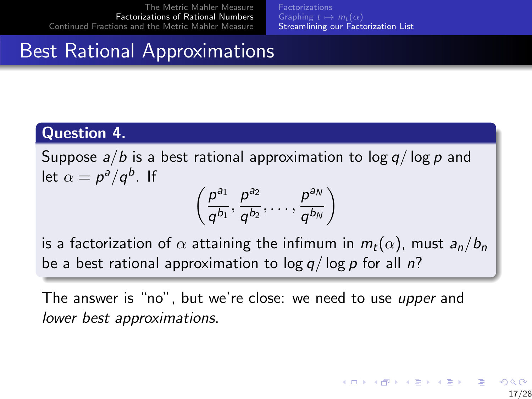[Factorizations](#page-22-0) [Graphing](#page-26-0)  $t \mapsto m_t(\alpha)$ [Streamlining our Factorization List](#page-32-0)

## <span id="page-38-0"></span>Best Rational Approximations

#### Question 4.

Suppose  $a/b$  is a best rational approximation to log  $q/\log p$  and let  $\alpha = p^a/q^b$ . If

$$
\left(\frac{p^{a_1}}{q^{b_1}},\frac{p^{a_2}}{q^{b_2}},\ldots,\frac{p^{a_N}}{q^{b_N}}\right)
$$

is a factorization of  $\alpha$  attaining the infimum in  $m_t(\alpha)$ , must  $a_n/b_n$ be a best rational approximation to  $\log q / \log p$  for all n?

The answer is "no", but we're close: we need to use upper and lower best approximations.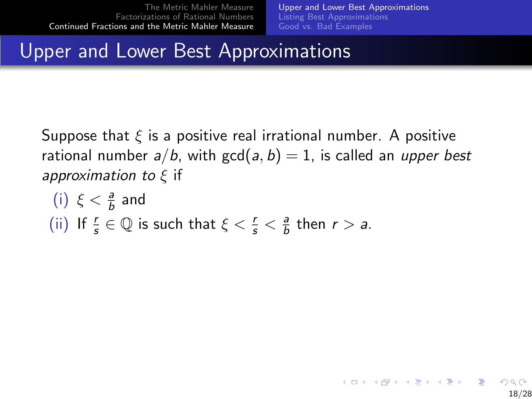[Upper and Lower Best Approximations](#page-40-0) [Listing Best Approximations](#page-42-0) [Good vs. Bad Examples](#page-48-0)

18/28

## <span id="page-39-0"></span>Upper and Lower Best Approximations

Suppose that  $\xi$  is a positive real irrational number. A positive rational number  $a/b$ , with  $gcd(a, b) = 1$ , is called an upper best approximation to  $\xi$  if

\n- (i) 
$$
\xi < \frac{a}{b}
$$
 and
\n- (ii) If  $\frac{r}{s} \in \mathbb{Q}$  is such that  $\xi < \frac{r}{s} < \frac{a}{b}$  then  $r > a$ .
\n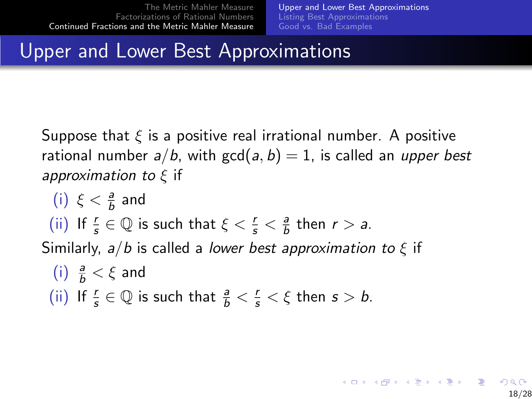18/28

## <span id="page-40-0"></span>Upper and Lower Best Approximations

Suppose that  $\xi$  is a positive real irrational number. A positive rational number  $a/b$ , with  $gcd(a, b) = 1$ , is called an upper best approximation to  $\xi$  if

\n- (i) 
$$
\xi < \frac{a}{b}
$$
 and
\n- (ii) If  $\frac{r}{s} \in \mathbb{Q}$  is such that  $\xi < \frac{r}{s} < \frac{a}{b}$  then  $r > a$ .
\n- Similarly,  $a/b$  is called a *lower best approximation to*  $\xi$  if
\n- (i)  $\frac{a}{b} < \xi$  and
\n- (ii) If  $\frac{r}{s} \in \mathbb{Q}$  is such that  $\frac{a}{b} < \frac{r}{s} < \xi$  then  $s > b$ .
\n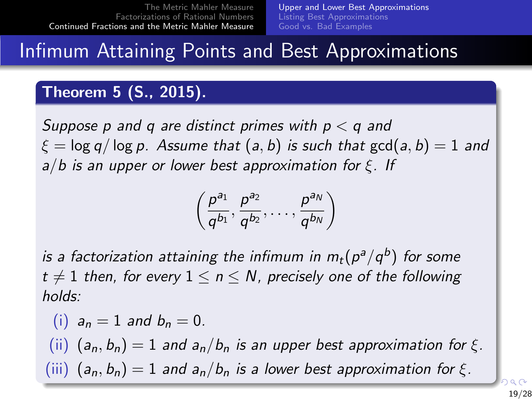#### <span id="page-41-0"></span>Infimum Attaining Points and Best Approximations

#### Theorem 5 (S., 2015).

Suppose p and q are distinct primes with  $p < q$  and  $\xi = \log q / \log p$ . Assume that  $(a, b)$  is such that  $gcd(a, b) = 1$  and  $a/b$  is an upper or lower best approximation for  $\xi$ . If

$$
\left(\frac{p^{a_1}}{q^{b_1}},\frac{p^{a_2}}{q^{b_2}},\ldots,\frac{p^{a_N}}{q^{b_N}}\right)
$$

is a factorization attaining the infimum in  $m_t(p^a/q^b)$  for some  $t \neq 1$  then, for every  $1 \leq n \leq N$ , precisely one of the following holds:

(i)  $a_n = 1$  and  $b_n = 0$ . (ii)  $(a_n, b_n) = 1$  and  $a_n/b_n$  is an upper best approximation for  $\xi$ . ([i](#page-39-0)ii)  $(a_n, b_n) = 1$  $(a_n, b_n) = 1$  $(a_n, b_n) = 1$  $(a_n, b_n) = 1$  $(a_n, b_n) = 1$  and  $a_n/b_n$  is a lower best [ap](#page-40-0)[pro](#page-42-0)[x](#page-40-0)[im](#page-41-0)a[t](#page-38-0)i[o](#page-39-0)n [f](#page-38-0)o[r](#page-56-0)  $\xi$ [.](#page-0-0)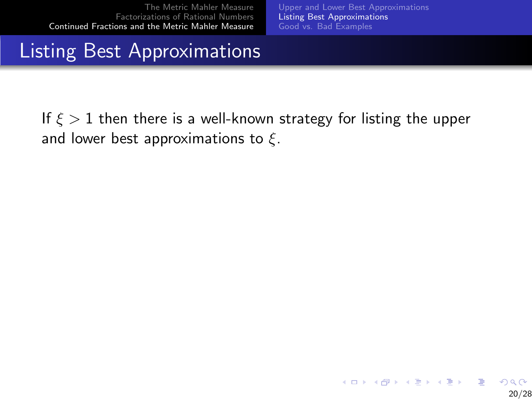[Upper and Lower Best Approximations](#page-39-0) [Listing Best Approximations](#page-43-0) [Good vs. Bad Examples](#page-48-0)

## <span id="page-42-0"></span>Listing Best Approximations

If  $\xi > 1$  then there is a well-known strategy for listing the upper and lower best approximations to  $\xi$ .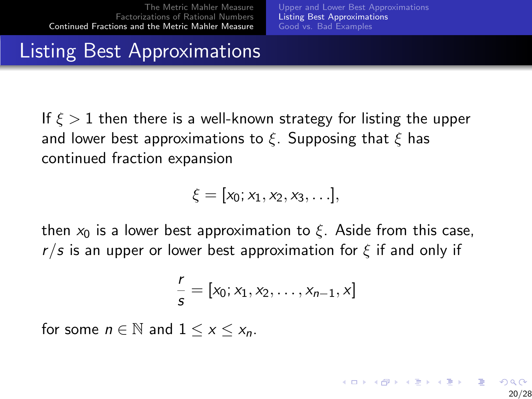[Upper and Lower Best Approximations](#page-39-0) [Listing Best Approximations](#page-42-0) [Good vs. Bad Examples](#page-48-0)

20/28

 $\mathbf{A} \equiv \mathbf{A} + \mathbf{B} + \mathbf{A} + \mathbf{B} + \mathbf{A} + \mathbf{B} + \mathbf{A} + \mathbf{B} + \mathbf{A} + \mathbf{B} + \mathbf{A} + \mathbf{B} + \mathbf{A} + \mathbf{B} + \mathbf{A} + \mathbf{B} + \mathbf{A} + \mathbf{B} + \mathbf{A} + \mathbf{B} + \mathbf{A} + \mathbf{B} + \mathbf{A} + \mathbf{B} + \mathbf{A} + \mathbf{B} + \mathbf{A} + \mathbf{B} + \mathbf{A} + \mathbf{B} + \math$ 

## <span id="page-43-0"></span>Listing Best Approximations

If  $\xi > 1$  then there is a well-known strategy for listing the upper and lower best approximations to  $\xi$ . Supposing that  $\xi$  has continued fraction expansion

$$
\xi=[x_0;x_1,x_2,x_3,\ldots],
$$

then  $x_0$  is a lower best approximation to  $\xi$ . Aside from this case,  $r/s$  is an upper or lower best approximation for  $\xi$  if and only if

$$
\frac{r}{s} = [x_0; x_1, x_2, \dots, x_{n-1}, x]
$$

for some  $n \in \mathbb{N}$  and  $1 \leq x \leq x_n$ .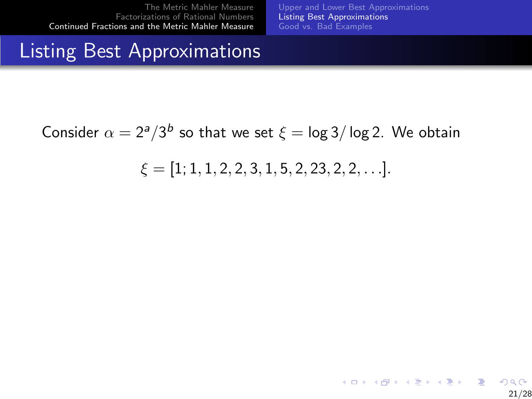[Upper and Lower Best Approximations](#page-39-0) [Listing Best Approximations](#page-42-0) [Good vs. Bad Examples](#page-48-0)

21/28

 $2Q$ 

 $A \equiv 1 + 4 \sqrt{10} + 4 \sqrt{10} + 4 \sqrt{10} + 4 \sqrt{10} + 1$ 

#### Listing Best Approximations

Consider  $\alpha = 2^a/3^b$  so that we set  $\xi = \log 3/\log 2$ . We obtain

$$
\xi=[1;1,1,2,2,3,1,5,2,23,2,2,\ldots].
$$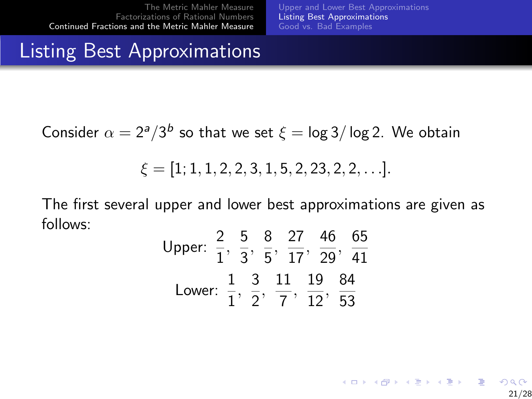[Upper and Lower Best Approximations](#page-39-0) [Listing Best Approximations](#page-42-0) [Good vs. Bad Examples](#page-48-0)

21/28

#### Listing Best Approximations

Consider  $\alpha = 2^a/3^b$  so that we set  $\xi = \log 3/\log 2$ . We obtain

$$
\xi = [1; 1, 1, 2, 2, 3, 1, 5, 2, 23, 2, 2, \ldots].
$$

The first several upper and lower best approximations are given as follows:

Upper: 
$$
\frac{2}{1}
$$
,  $\frac{5}{3}$ ,  $\frac{8}{5}$ ,  $\frac{27}{17}$ ,  $\frac{46}{29}$ ,  $\frac{65}{41}$   
Lower:  $\frac{1}{1}$ ,  $\frac{3}{2}$ ,  $\frac{11}{7}$ ,  $\frac{19}{12}$ ,  $\frac{84}{53}$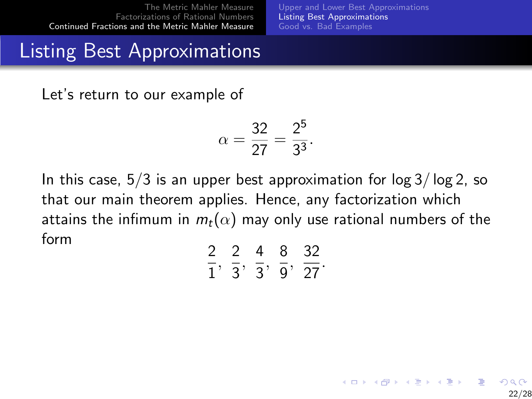[Upper and Lower Best Approximations](#page-39-0) [Listing Best Approximations](#page-42-0) [Good vs. Bad Examples](#page-48-0)

22/28

イロト イ部 トメ きょ メ きょう き

## Listing Best Approximations

Let's return to our example of

$$
\alpha = \frac{32}{27} = \frac{2^5}{3^3}.
$$

In this case,  $5/3$  is an upper best approximation for  $\log 3/\log 2$ , so that our main theorem applies. Hence, any factorization which attains the infimum in  $m_t(\alpha)$  may only use rational numbers of the form

|  | ړ<br>Ō. | ドノ |
|--|---------|----|
|  |         | 27 |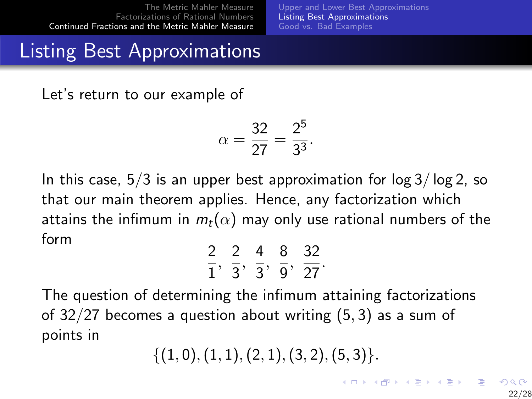[Upper and Lower Best Approximations](#page-39-0) [Listing Best Approximations](#page-42-0) [Good vs. Bad Examples](#page-48-0)

## Listing Best Approximations

Let's return to our example of

$$
\alpha = \frac{32}{27} = \frac{2^5}{3^3}.
$$

In this case,  $5/3$  is an upper best approximation for  $\log 3/\log 2$ , so that our main theorem applies. Hence, any factorization which attains the infimum in  $m_t(\alpha)$  may only use rational numbers of the form

| ╯ |  | 8   | ドノ |
|---|--|-----|----|
|   |  | . . | 27 |

The question of determining the infimum attaining factorizations of 32/27 becomes a question about writing (5, 3) as a sum of points in

$$
\{(1,0),(1,1),(2,1),(3,2),(5,3)\}.
$$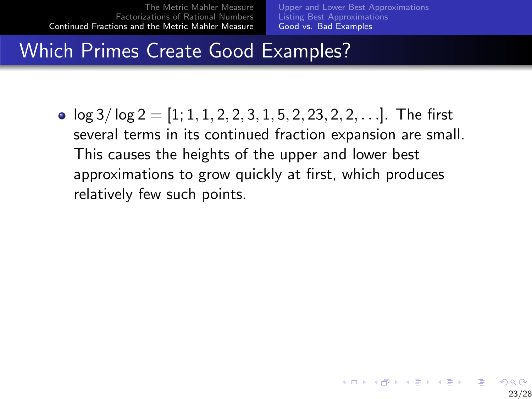[Upper and Lower Best Approximations](#page-39-0) [Listing Best Approximations](#page-42-0) [Good vs. Bad Examples](#page-49-0)

23/28

## <span id="page-48-0"></span>Which Primes Create Good Examples?

•  $\log 3/\log 2 = [1, 1, 1, 2, 2, 3, 1, 5, 2, 23, 2, 2, \ldots]$ . The first several terms in its continued fraction expansion are small. This causes the heights of the upper and lower best approximations to grow quickly at first, which produces relatively few such points.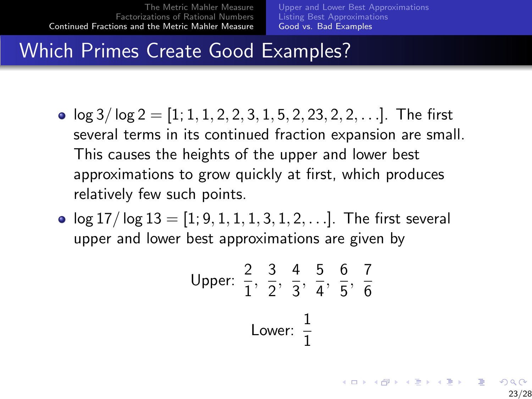[Upper and Lower Best Approximations](#page-39-0) [Listing Best Approximations](#page-42-0) [Good vs. Bad Examples](#page-48-0)

23/28

## <span id="page-49-0"></span>Which Primes Create Good Examples?

- $\log 3/\log 2 = [1, 1, 1, 2, 2, 3, 1, 5, 2, 23, 2, 2, \ldots]$ . The first several terms in its continued fraction expansion are small. This causes the heights of the upper and lower best approximations to grow quickly at first, which produces relatively few such points.
- $\log 17 / \log 13 = [1, 9, 1, 1, 1, 3, 1, 2, \ldots]$ . The first several upper and lower best approximations are given by

Upper: 
$$
\frac{2}{1}
$$
,  $\frac{3}{2}$ ,  $\frac{4}{3}$ ,  $\frac{5}{4}$ ,  $\frac{6}{5}$ ,  $\frac{7}{6}$   
Lower:  $\frac{1}{1}$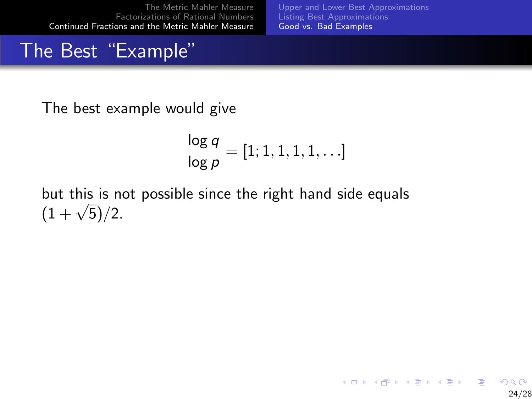[Upper and Lower Best Approximations](#page-39-0) [Listing Best Approximations](#page-42-0) [Good vs. Bad Examples](#page-48-0)

## The Best "Example"

The best example would give

$$
\frac{\log q}{\log p} = [1; 1, 1, 1, 1, \ldots]
$$

but this is not possible since the right hand side equals  $(1 + \sqrt{5})/2$ .

> K ロン K 御 > K 결 > K 결 > 「결  $2Q$ 24/28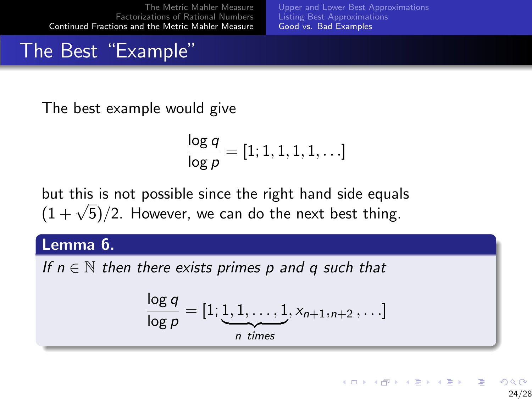[Upper and Lower Best Approximations](#page-39-0) [Listing Best Approximations](#page-42-0) [Good vs. Bad Examples](#page-48-0)

## The Best "Example"

The best example would give

$$
\frac{\log q}{\log p} = [1; 1, 1, 1, 1, \ldots]
$$

but this is not possible since the right hand side equals but this is not possible since the right hand side equal  $(1 + \sqrt{5})/2$ . However, we can do the next best thing.

Lemma 6.

If  $n \in \mathbb{N}$  then there exists primes p and q such that

$$
\frac{\log q}{\log p} = [1; \underbrace{1, 1, \ldots, 1}_{n \text{ times}}, x_{n+1,n+2}, \ldots]
$$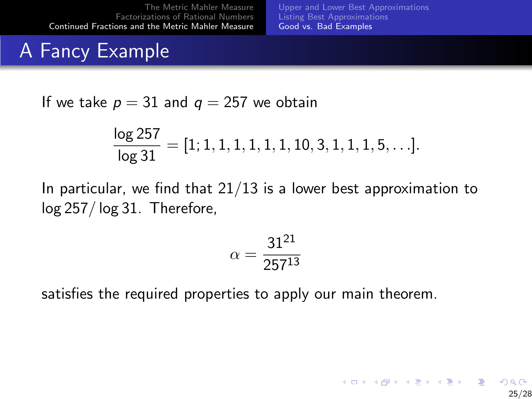[Upper and Lower Best Approximations](#page-39-0) [Listing Best Approximations](#page-42-0) [Good vs. Bad Examples](#page-48-0)

25/28

## A Fancy Example

If we take  $p = 31$  and  $q = 257$  we obtain

$$
\frac{\log 257}{\log 31} = [1; 1, 1, 1, 1, 1, 1, 10, 3, 1, 1, 1, 5, \ldots].
$$

In particular, we find that  $21/13$  is a lower best approximation to log 257/ log 31. Therefore,

$$
\alpha = \frac{31^{21}}{257^{13}}
$$

satisfies the required properties to apply our main theorem.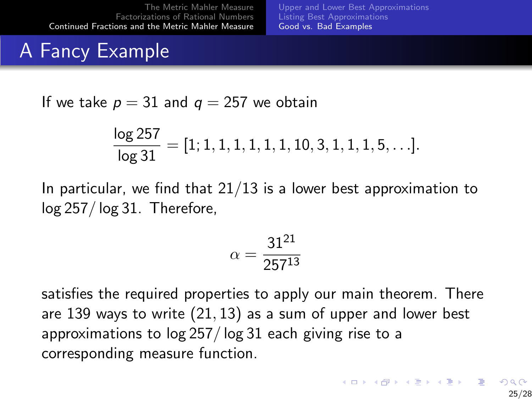[Upper and Lower Best Approximations](#page-39-0) [Listing Best Approximations](#page-42-0) [Good vs. Bad Examples](#page-48-0)

# A Fancy Example

If we take  $p = 31$  and  $q = 257$  we obtain

$$
\frac{\log 257}{\log 31} = [1; 1, 1, 1, 1, 1, 1, 10, 3, 1, 1, 1, 5, \ldots].
$$

In particular, we find that  $21/13$  is a lower best approximation to log 257/ log 31. Therefore,

$$
\alpha = \frac{31^{21}}{257^{13}}
$$

satisfies the required properties to apply our main theorem. There are 139 ways to write (21, 13) as a sum of upper and lower best approximations to log 257/ log 31 each giving rise to a corresponding measure function.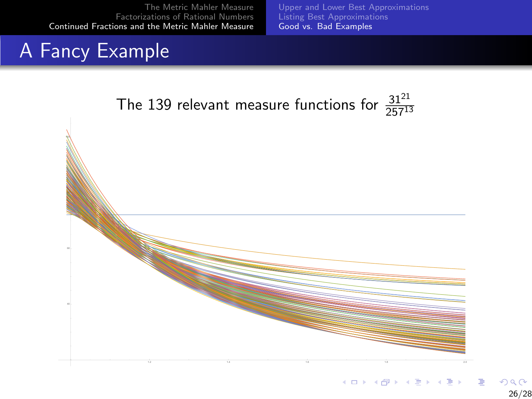[Upper and Lower Best Approximations](#page-39-0) [Listing Best Approximations](#page-42-0) [Good vs. Bad Examples](#page-48-0)

# A Fancy Example



1.2 1.4 1.6 1.8 2.0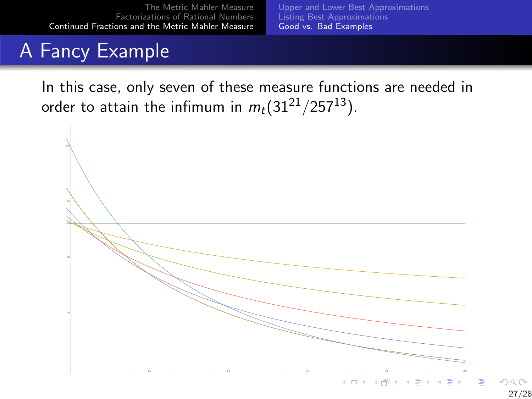[Upper and Lower Best Approximations](#page-39-0) [Listing Best Approximations](#page-42-0) [Good vs. Bad Examples](#page-48-0)

# A Fancy Example

In this case, only seven of these measure functions are needed in order to attain the infimum in  $m_t(31^{21}/257^{13})$ .